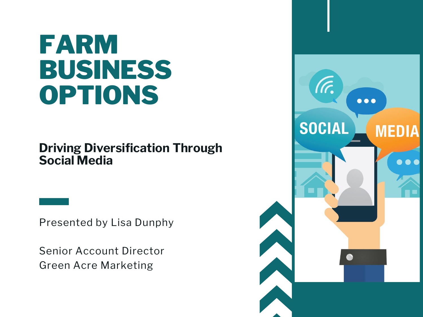## FARM BUSINESS OPTIONS

#### Driving Diversification Through Social Media

Presented by Lisa Dunphy

Senior Account Director Green Acre Marketing

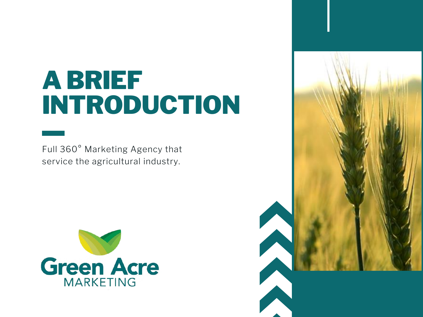## A BRIEF INTRODUCTION

Full 360° Marketing Agency that service the agricultural industry.



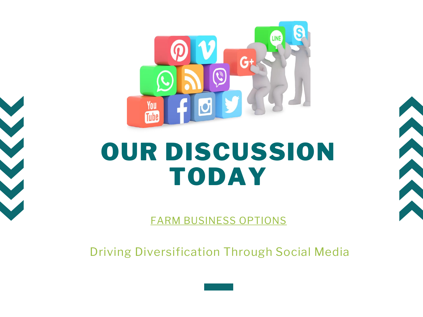





FARM BUSINESS OPTIONS

Driving Diversification Through Social Media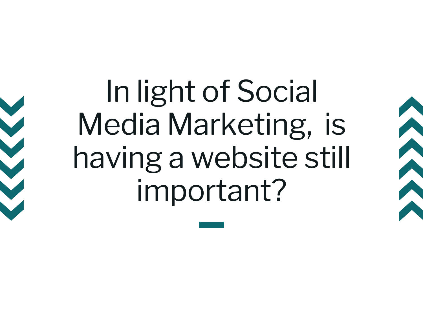In light of Social Media Marketing, is having a website still important?

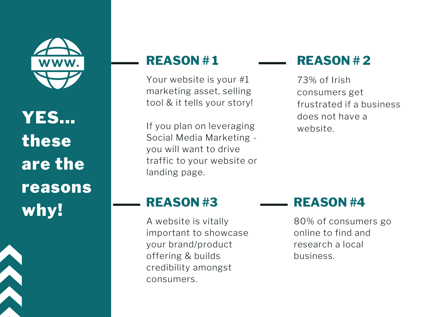

YES... these are the reasons why!



#### REASON # 1

Your website is your #1 marketing asset, selling tool & it tells your story!

If you plan on leveraging Social Media Marketing you will want to drive traffic to your website or landing page.

#### REASON # 2

73% of Irish consumers get frustrated if a business does not have a website.

#### REASON #3

A website is vitally important to showcase your brand/product offering & builds credibility amongst consumers.

#### REASON #4

80% of consumers go online to find and research a local business.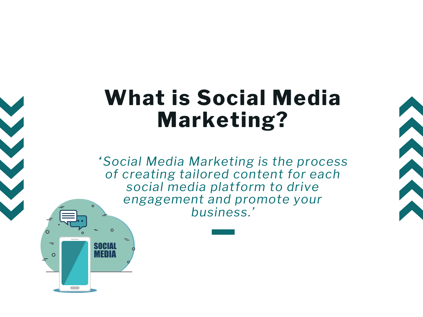## What is Social Media Marketing?

*"Social Media Marketing is the process of creating tailored content for each social media platform to drive engagement and promote your business.'*

SOCIAL **MEDIA** 

 $\Omega$ 

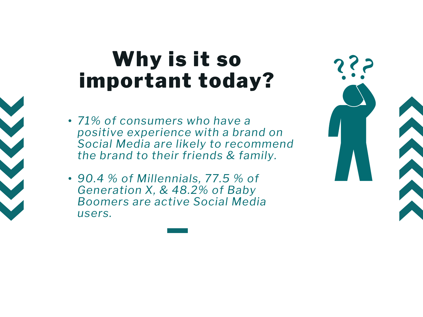## Why is it so important today?

- *71% of consumers who have a positive experience with a brand on Social Media are likely to recommend the brand to their friends & family.*
- *90.4 % of Millennials, 77.5 % of Generation X, & 48.2% of Baby Boomers are active Social Media users.*

| 2?2 |  |
|-----|--|
|     |  |
|     |  |
|     |  |
|     |  |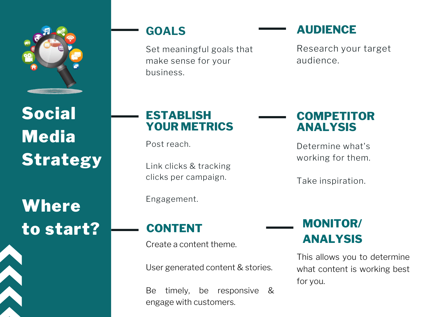

Social **Media Strategy** 

**Where** to start?

#### GOALS

Set meaningful goals that make sense for your business.

#### AUDIENCE

Research your target audience.

#### ESTABLISH YOUR METRICS

Post reach.

Link clicks & tracking clicks per campaign.

Engagement.

#### COMPETITOR ANALYSIS

Determine what's working for them.

Take inspiration.

#### CONTENT

Create a content theme.

User generated content & stories.

Be timely, be responsive & engage with customers.

#### MONITOR/ ANALYSIS

This allows you to determine what content is working best for you.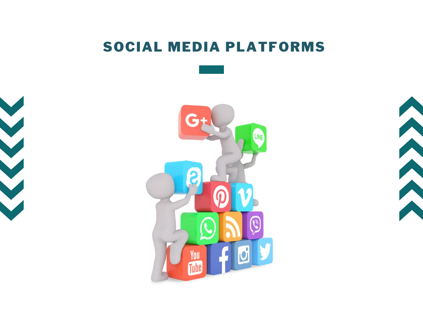#### SOCIAL MEDIA PLATFORMS





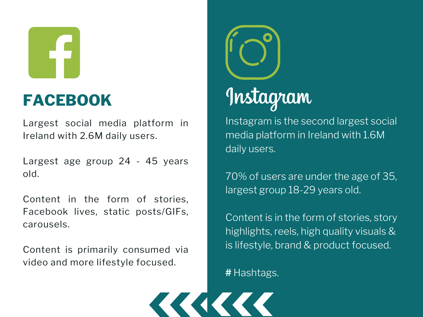### FACEBOOK

Largest social media platform in Ireland with 2.6M daily users.

Largest age group 24 - 45 years old.

Content in the form of stories, Facebook lives, static posts/GIFs, carousels.

Content is primarily consumed via video and more lifestyle focused.



## Instagram

Instagram is the second largest social media platform in Ireland with 1.6M daily users.

70% of users are under the age of 35, largest group 18-29 years old.

Content is in the form of stories, story highlights, reels, high quality visuals & is lifestyle, brand & product focused.

# Hashtags.

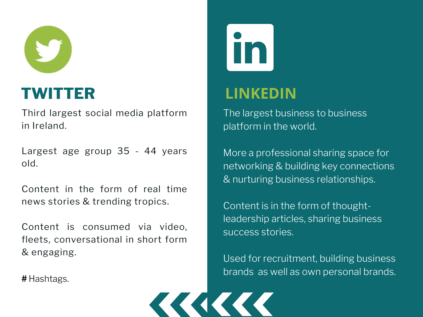

#### TWITTER

Third largest social media platform in Ireland.

Largest age group 35 - 44 years old.

Content in the form of real time news stories & trending tropics.

Content is consumed via video, fleets, conversational in short form & engaging.

# Hashtags.

#### LINKEDIN

The largest business to business platform in the world.

More a professional sharing space for networking & building key connections & nurturing business relationships.

Content is in the form of thoughtleadership articles, sharing business success stories.

Used for recruitment, building business brands as well as own personal brands.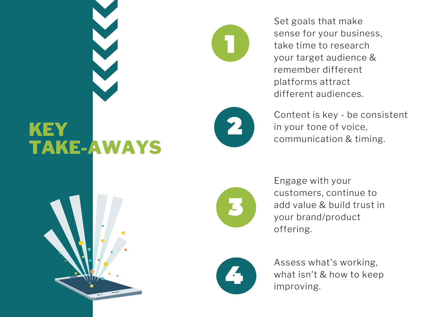Set goals that make sense for your business, take time to research your target audience & remember different platforms attract different audiences.

## KEY TAKE-AWAYS



Content is key - be consistent in your tone of voice, communication & timing.



Engage with your customers, continue to add value & build trust in your brand/product offering.



Assess what's working, what isn't & how to keep improving.